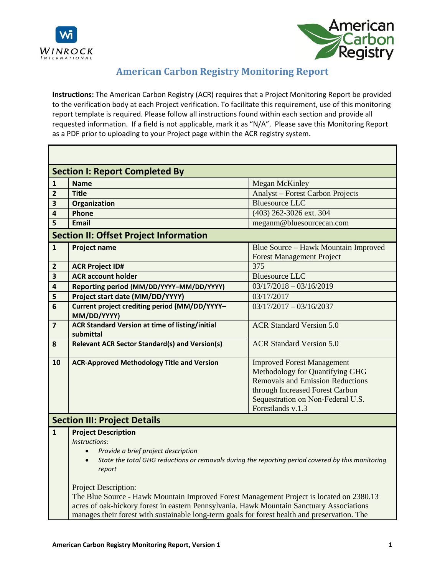

Ē



## **American Carbon Registry Monitoring Report**

**Instructions:** The American Carbon Registry (ACR) requires that a Project Monitoring Report be provided to the verification body at each Project verification. To facilitate this requirement, use of this monitoring report template is required. Please follow all instructions found within each section and provide all requested information. If a field is not applicable, mark it as "N/A". Please save this Monitoring Report as a PDF prior to uploading to your Project page within the ACR registry system.

|                         | <b>Section I: Report Completed By</b>                                                                                                                                                                                                                                                                                                                                                                                                                                                                                                                |                                                                                                                                                                                                              |  |
|-------------------------|------------------------------------------------------------------------------------------------------------------------------------------------------------------------------------------------------------------------------------------------------------------------------------------------------------------------------------------------------------------------------------------------------------------------------------------------------------------------------------------------------------------------------------------------------|--------------------------------------------------------------------------------------------------------------------------------------------------------------------------------------------------------------|--|
| $\mathbf{1}$            | <b>Name</b>                                                                                                                                                                                                                                                                                                                                                                                                                                                                                                                                          | <b>Megan McKinley</b>                                                                                                                                                                                        |  |
| 2                       | <b>Title</b>                                                                                                                                                                                                                                                                                                                                                                                                                                                                                                                                         | Analyst – Forest Carbon Projects                                                                                                                                                                             |  |
| 3                       | Organization                                                                                                                                                                                                                                                                                                                                                                                                                                                                                                                                         | <b>Bluesource LLC</b>                                                                                                                                                                                        |  |
| 4                       | Phone                                                                                                                                                                                                                                                                                                                                                                                                                                                                                                                                                | (403) 262-3026 ext. 304                                                                                                                                                                                      |  |
| 5                       | <b>Email</b>                                                                                                                                                                                                                                                                                                                                                                                                                                                                                                                                         | meganm@bluesourcecan.com                                                                                                                                                                                     |  |
|                         | <b>Section II: Offset Project Information</b>                                                                                                                                                                                                                                                                                                                                                                                                                                                                                                        |                                                                                                                                                                                                              |  |
| $\mathbf{1}$            | <b>Project name</b>                                                                                                                                                                                                                                                                                                                                                                                                                                                                                                                                  | Blue Source - Hawk Mountain Improved<br><b>Forest Management Project</b>                                                                                                                                     |  |
| $\overline{2}$          | <b>ACR Project ID#</b>                                                                                                                                                                                                                                                                                                                                                                                                                                                                                                                               | 375                                                                                                                                                                                                          |  |
| $\overline{\mathbf{3}}$ | <b>ACR</b> account holder                                                                                                                                                                                                                                                                                                                                                                                                                                                                                                                            | <b>Bluesource LLC</b>                                                                                                                                                                                        |  |
| 4                       | Reporting period (MM/DD/YYYY-MM/DD/YYYY)                                                                                                                                                                                                                                                                                                                                                                                                                                                                                                             | $03/17/2018 - 03/16/2019$                                                                                                                                                                                    |  |
| 5                       | Project start date (MM/DD/YYYY)                                                                                                                                                                                                                                                                                                                                                                                                                                                                                                                      | 03/17/2017                                                                                                                                                                                                   |  |
| 6                       | Current project crediting period (MM/DD/YYYY-<br>MM/DD/YYYY)                                                                                                                                                                                                                                                                                                                                                                                                                                                                                         | $03/17/2017 - 03/16/2037$                                                                                                                                                                                    |  |
| $\overline{7}$          | <b>ACR Standard Version at time of listing/initial</b><br>submittal                                                                                                                                                                                                                                                                                                                                                                                                                                                                                  | <b>ACR Standard Version 5.0</b>                                                                                                                                                                              |  |
| 8                       | <b>Relevant ACR Sector Standard(s) and Version(s)</b>                                                                                                                                                                                                                                                                                                                                                                                                                                                                                                | <b>ACR Standard Version 5.0</b>                                                                                                                                                                              |  |
| 10                      | <b>ACR-Approved Methodology Title and Version</b>                                                                                                                                                                                                                                                                                                                                                                                                                                                                                                    | <b>Improved Forest Management</b><br>Methodology for Quantifying GHG<br><b>Removals and Emission Reductions</b><br>through Increased Forest Carbon<br>Sequestration on Non-Federal U.S.<br>Forestlands v.1.3 |  |
|                         | <b>Section III: Project Details</b>                                                                                                                                                                                                                                                                                                                                                                                                                                                                                                                  |                                                                                                                                                                                                              |  |
| $\mathbf{1}$            | <b>Project Description</b><br>Instructions:<br>Provide a brief project description<br>$\bullet$<br>State the total GHG reductions or removals during the reporting period covered by this monitoring<br>$\bullet$<br>report<br><b>Project Description:</b><br>The Blue Source - Hawk Mountain Improved Forest Management Project is located on 2380.13<br>acres of oak-hickory forest in eastern Pennsylvania. Hawk Mountain Sanctuary Associations<br>manages their forest with sustainable long-term goals for forest health and preservation. The |                                                                                                                                                                                                              |  |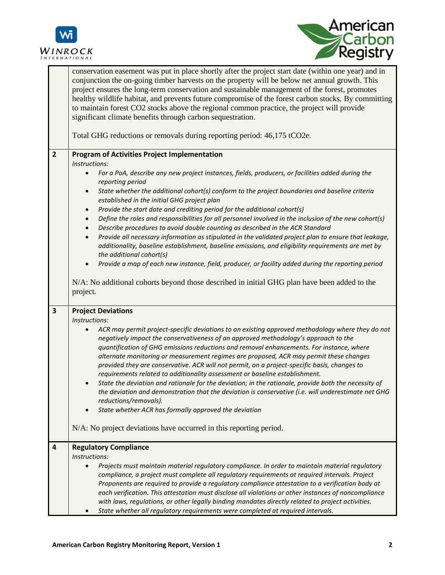



|                         | conservation easement was put in place shortly after the project start date (within one year) and in<br>conjunction the on-going timber harvests on the property will be below net annual growth. This<br>project ensures the long-term conservation and sustainable management of the forest, promotes<br>healthy wildlife habitat, and prevents future compromise of the forest carbon stocks. By committing<br>to maintain forest CO2 stocks above the regional common practice, the project will provide<br>significant climate benefits through carbon sequestration.<br>Total GHG reductions or removals during reporting period: 46,175 tCO2e. |
|-------------------------|-------------------------------------------------------------------------------------------------------------------------------------------------------------------------------------------------------------------------------------------------------------------------------------------------------------------------------------------------------------------------------------------------------------------------------------------------------------------------------------------------------------------------------------------------------------------------------------------------------------------------------------------------------|
| $\overline{2}$          | <b>Program of Activities Project Implementation</b>                                                                                                                                                                                                                                                                                                                                                                                                                                                                                                                                                                                                   |
|                         | Instructions:                                                                                                                                                                                                                                                                                                                                                                                                                                                                                                                                                                                                                                         |
|                         | For a PoA, describe any new project instances, fields, producers, or facilities added during the                                                                                                                                                                                                                                                                                                                                                                                                                                                                                                                                                      |
|                         | reporting period<br>State whether the additional cohort(s) conform to the project boundaries and baseline criteria<br>$\bullet$                                                                                                                                                                                                                                                                                                                                                                                                                                                                                                                       |
|                         | established in the initial GHG project plan                                                                                                                                                                                                                                                                                                                                                                                                                                                                                                                                                                                                           |
|                         | Provide the start date and crediting period for the additional cohort(s)<br>$\bullet$                                                                                                                                                                                                                                                                                                                                                                                                                                                                                                                                                                 |
|                         | Define the roles and responsibilities for all personnel involved in the inclusion of the new cohort(s)<br>$\bullet$                                                                                                                                                                                                                                                                                                                                                                                                                                                                                                                                   |
|                         | Describe procedures to avoid double counting as described in the ACR Standard<br>$\bullet$                                                                                                                                                                                                                                                                                                                                                                                                                                                                                                                                                            |
|                         | Provide all necessary information as stipulated in the validated project plan to ensure that leakage,<br>$\bullet$                                                                                                                                                                                                                                                                                                                                                                                                                                                                                                                                    |
|                         | additionality, baseline establishment, baseline emissions, and eligibility requirements are met by<br>the additional cohort(s)                                                                                                                                                                                                                                                                                                                                                                                                                                                                                                                        |
|                         | Provide a map of each new instance, field, producer, or facility added during the reporting period                                                                                                                                                                                                                                                                                                                                                                                                                                                                                                                                                    |
|                         |                                                                                                                                                                                                                                                                                                                                                                                                                                                                                                                                                                                                                                                       |
|                         | N/A: No additional cohorts beyond those described in initial GHG plan have been added to the<br>project.                                                                                                                                                                                                                                                                                                                                                                                                                                                                                                                                              |
| $\overline{\mathbf{3}}$ | <b>Project Deviations</b>                                                                                                                                                                                                                                                                                                                                                                                                                                                                                                                                                                                                                             |
|                         | Instructions:                                                                                                                                                                                                                                                                                                                                                                                                                                                                                                                                                                                                                                         |
|                         | ACR may permit project-specific deviations to an existing approved methodology where they do not<br>negatively impact the conservativeness of an approved methodology's approach to the<br>quantification of GHG emissions reductions and removal enhancements. For instance, where<br>alternate monitoring or measurement regimes are proposed, ACR may permit these changes<br>provided they are conservative. ACR will not permit, on a project-specific basis, changes to                                                                                                                                                                         |
|                         | requirements related to additionality assessment or baseline establishment.<br>State the deviation and rationale for the deviation; in the rationale, provide both the necessity of                                                                                                                                                                                                                                                                                                                                                                                                                                                                   |
|                         | the deviation and demonstration that the deviation is conservative (i.e. will underestimate net GHG                                                                                                                                                                                                                                                                                                                                                                                                                                                                                                                                                   |
|                         | reductions/removals).                                                                                                                                                                                                                                                                                                                                                                                                                                                                                                                                                                                                                                 |
|                         | State whether ACR has formally approved the deviation                                                                                                                                                                                                                                                                                                                                                                                                                                                                                                                                                                                                 |
|                         | N/A: No project deviations have occurred in this reporting period.                                                                                                                                                                                                                                                                                                                                                                                                                                                                                                                                                                                    |
| $\overline{4}$          | <b>Regulatory Compliance</b>                                                                                                                                                                                                                                                                                                                                                                                                                                                                                                                                                                                                                          |
|                         | Instructions:                                                                                                                                                                                                                                                                                                                                                                                                                                                                                                                                                                                                                                         |
|                         | Projects must maintain material regulatory compliance. In order to maintain material regulatory<br>compliance, a project must complete all regulatory requirements at required intervals. Project<br>Proponents are required to provide a regulatory compliance attestation to a verification body at                                                                                                                                                                                                                                                                                                                                                 |
|                         | each verification. This attestation must disclose all violations or other instances of noncompliance<br>with laws, regulations, or other legally binding mandates directly related to project activities.                                                                                                                                                                                                                                                                                                                                                                                                                                             |
|                         | State whether all regulatory requirements were completed at required intervals.                                                                                                                                                                                                                                                                                                                                                                                                                                                                                                                                                                       |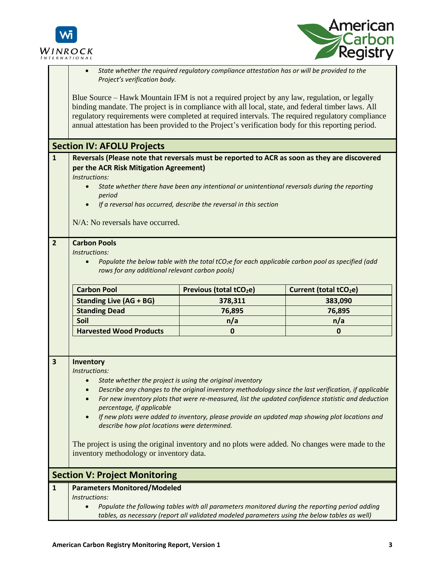



|                         | State whether the required regulatory compliance attestation has or will be provided to the<br>Project's verification body.                                                                                                                                                                                                                                                                                 |                                                                                               |                                                                                                                                                                                                                                                                                                                                                                                                                   |
|-------------------------|-------------------------------------------------------------------------------------------------------------------------------------------------------------------------------------------------------------------------------------------------------------------------------------------------------------------------------------------------------------------------------------------------------------|-----------------------------------------------------------------------------------------------|-------------------------------------------------------------------------------------------------------------------------------------------------------------------------------------------------------------------------------------------------------------------------------------------------------------------------------------------------------------------------------------------------------------------|
|                         | Blue Source – Hawk Mountain IFM is not a required project by any law, regulation, or legally<br>binding mandate. The project is in compliance with all local, state, and federal timber laws. All<br>regulatory requirements were completed at required intervals. The required regulatory compliance<br>annual attestation has been provided to the Project's verification body for this reporting period. |                                                                                               |                                                                                                                                                                                                                                                                                                                                                                                                                   |
|                         | <b>Section IV: AFOLU Projects</b>                                                                                                                                                                                                                                                                                                                                                                           |                                                                                               |                                                                                                                                                                                                                                                                                                                                                                                                                   |
| $\mathbf{1}$            | Reversals (Please note that reversals must be reported to ACR as soon as they are discovered<br>per the ACR Risk Mitigation Agreement)                                                                                                                                                                                                                                                                      |                                                                                               |                                                                                                                                                                                                                                                                                                                                                                                                                   |
|                         | Instructions:<br>$\bullet$                                                                                                                                                                                                                                                                                                                                                                                  |                                                                                               |                                                                                                                                                                                                                                                                                                                                                                                                                   |
|                         | period                                                                                                                                                                                                                                                                                                                                                                                                      | State whether there have been any intentional or unintentional reversals during the reporting |                                                                                                                                                                                                                                                                                                                                                                                                                   |
|                         | $\bullet$                                                                                                                                                                                                                                                                                                                                                                                                   | If a reversal has occurred, describe the reversal in this section                             |                                                                                                                                                                                                                                                                                                                                                                                                                   |
|                         | N/A: No reversals have occurred.                                                                                                                                                                                                                                                                                                                                                                            |                                                                                               |                                                                                                                                                                                                                                                                                                                                                                                                                   |
|                         | <b>Carbon Pools</b><br>Instructions:<br>Populate the below table with the total tCO <sub>2</sub> e for each applicable carbon pool as specified (add<br>$\bullet$<br>rows for any additional relevant carbon pools)                                                                                                                                                                                         |                                                                                               |                                                                                                                                                                                                                                                                                                                                                                                                                   |
|                         | <b>Carbon Pool</b>                                                                                                                                                                                                                                                                                                                                                                                          | Previous (total tCO <sub>2</sub> e)                                                           | Current (total tCO <sub>2</sub> e)                                                                                                                                                                                                                                                                                                                                                                                |
|                         |                                                                                                                                                                                                                                                                                                                                                                                                             |                                                                                               |                                                                                                                                                                                                                                                                                                                                                                                                                   |
|                         | <b>Standing Live (AG + BG)</b>                                                                                                                                                                                                                                                                                                                                                                              | 378,311                                                                                       | 383,090                                                                                                                                                                                                                                                                                                                                                                                                           |
|                         | <b>Standing Dead</b>                                                                                                                                                                                                                                                                                                                                                                                        | 76,895                                                                                        | 76,895                                                                                                                                                                                                                                                                                                                                                                                                            |
|                         | Soil                                                                                                                                                                                                                                                                                                                                                                                                        | n/a                                                                                           | n/a                                                                                                                                                                                                                                                                                                                                                                                                               |
|                         | <b>Harvested Wood Products</b>                                                                                                                                                                                                                                                                                                                                                                              | $\mathbf{0}$                                                                                  | $\mathbf{0}$                                                                                                                                                                                                                                                                                                                                                                                                      |
| $\overline{\mathbf{3}}$ | Inventory<br>Instructions:<br>percentage, if applicable<br>$\bullet$<br>describe how plot locations were determined.<br>inventory methodology or inventory data.                                                                                                                                                                                                                                            | State whether the project is using the original inventory                                     | Describe any changes to the original inventory methodology since the last verification, if applicable<br>For new inventory plots that were re-measured, list the updated confidence statistic and deduction<br>If new plots were added to inventory, please provide an updated map showing plot locations and<br>The project is using the original inventory and no plots were added. No changes were made to the |
|                         | <b>Section V: Project Monitoring</b>                                                                                                                                                                                                                                                                                                                                                                        |                                                                                               |                                                                                                                                                                                                                                                                                                                                                                                                                   |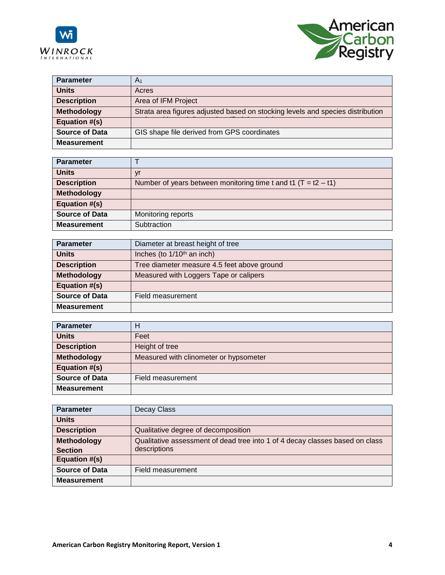



| <b>Parameter</b>      | A <sub>1</sub>                                                                 |
|-----------------------|--------------------------------------------------------------------------------|
| <b>Units</b>          | Acres                                                                          |
| <b>Description</b>    | Area of IFM Project                                                            |
| <b>Methodology</b>    | Strata area figures adjusted based on stocking levels and species distribution |
| Equation #(s)         |                                                                                |
| <b>Source of Data</b> | GIS shape file derived from GPS coordinates                                    |
| <b>Measurement</b>    |                                                                                |

| <b>Parameter</b>      |                                                                  |
|-----------------------|------------------------------------------------------------------|
| <b>Units</b>          | ۷ľ                                                               |
| <b>Description</b>    | Number of years between monitoring time t and t1 $(T = t2 - t1)$ |
| <b>Methodology</b>    |                                                                  |
| Equation #(s)         |                                                                  |
| <b>Source of Data</b> | Monitoring reports                                               |
| <b>Measurement</b>    | Subtraction                                                      |

| <b>Parameter</b>      | Diameter at breast height of tree           |
|-----------------------|---------------------------------------------|
| <b>Units</b>          | Inches (to $1/10th$ an inch)                |
| <b>Description</b>    | Tree diameter measure 4.5 feet above ground |
| <b>Methodology</b>    | Measured with Loggers Tape or calipers      |
| Equation #(s)         |                                             |
| <b>Source of Data</b> | Field measurement                           |
| <b>Measurement</b>    |                                             |

| <b>Parameter</b>      | н                                      |
|-----------------------|----------------------------------------|
| <b>Units</b>          | Feet                                   |
| <b>Description</b>    | Height of tree                         |
| <b>Methodology</b>    | Measured with clinometer or hypsometer |
| Equation #(s)         |                                        |
| <b>Source of Data</b> | Field measurement                      |
| <b>Measurement</b>    |                                        |

| <b>Parameter</b>      | Decay Class                                                                  |
|-----------------------|------------------------------------------------------------------------------|
| <b>Units</b>          |                                                                              |
| <b>Description</b>    | Qualitative degree of decomposition                                          |
| Methodology           | Qualitative assessment of dead tree into 1 of 4 decay classes based on class |
| <b>Section</b>        | descriptions                                                                 |
| Equation #(s)         |                                                                              |
| <b>Source of Data</b> | Field measurement                                                            |
| <b>Measurement</b>    |                                                                              |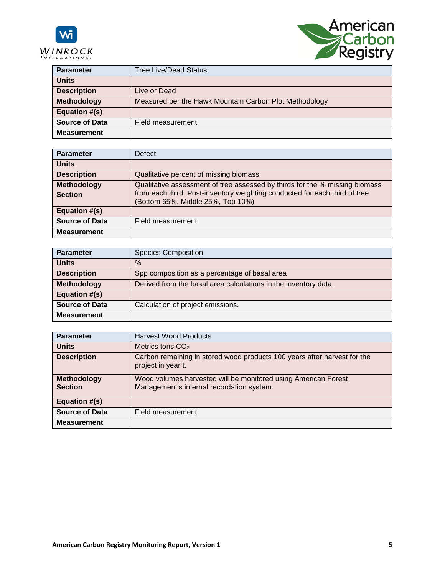

**Frequency**

**Frequency**



| <b>Parameter</b>      | <b>Tree Live/Dead Status</b>                           |
|-----------------------|--------------------------------------------------------|
| <b>Units</b>          |                                                        |
| <b>Description</b>    | Live or Dead                                           |
| <b>Methodology</b>    | Measured per the Hawk Mountain Carbon Plot Methodology |
| <b>Equation #(s)</b>  |                                                        |
| <b>Source of Data</b> | Field measurement                                      |
| <b>Measurement</b>    |                                                        |

| <b>Parameter</b>      | <b>Defect</b>                                                                                                   |
|-----------------------|-----------------------------------------------------------------------------------------------------------------|
| <b>Units</b>          |                                                                                                                 |
| <b>Description</b>    | Qualitative percent of missing biomass                                                                          |
| Methodology           | Qualitative assessment of tree assessed by thirds for the % missing biomass                                     |
| <b>Section</b>        | from each third. Post-inventory weighting conducted for each third of tree<br>(Bottom 65%, Middle 25%, Top 10%) |
| Equation #(s)         |                                                                                                                 |
| <b>Source of Data</b> | Field measurement                                                                                               |
| <b>Measurement</b>    |                                                                                                                 |

| <b>Parameter</b>      | <b>Species Composition</b>                                      |
|-----------------------|-----------------------------------------------------------------|
| <b>Units</b>          | $\%$                                                            |
| <b>Description</b>    | Spp composition as a percentage of basal area                   |
| Methodology           | Derived from the basal area calculations in the inventory data. |
| Equation #(s)         |                                                                 |
| <b>Source of Data</b> | Calculation of project emissions.                               |
| <b>Measurement</b>    |                                                                 |

| <b>Parameter</b>              | <b>Harvest Wood Products</b>                                                                                |
|-------------------------------|-------------------------------------------------------------------------------------------------------------|
| <b>Units</b>                  | Metrics tons $CO2$                                                                                          |
| <b>Description</b>            | Carbon remaining in stored wood products 100 years after harvest for the<br>project in year t.              |
| Methodology<br><b>Section</b> | Wood volumes harvested will be monitored using American Forest<br>Management's internal recordation system. |
| Equation #(s)                 |                                                                                                             |
| <b>Source of Data</b>         | Field measurement                                                                                           |
| <b>Measurement</b>            |                                                                                                             |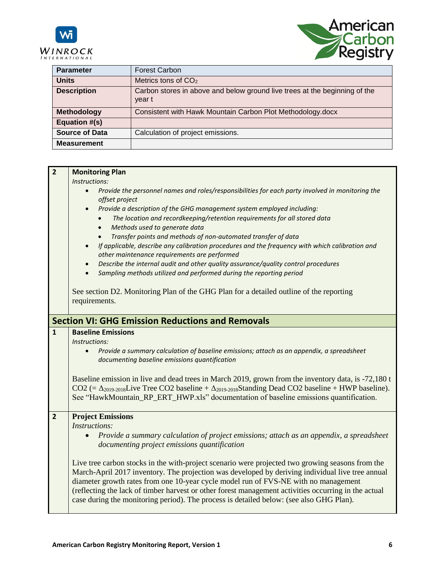



| <b>Parameter</b>      | <b>Forest Carbon</b>                                                                 |
|-----------------------|--------------------------------------------------------------------------------------|
| <b>Units</b>          | Metrics tons of $CO2$                                                                |
| <b>Description</b>    | Carbon stores in above and below ground live trees at the beginning of the<br>year t |
| <b>Methodology</b>    | Consistent with Hawk Mountain Carbon Plot Methodology.docx                           |
| Equation #(s)         |                                                                                      |
| <b>Source of Data</b> | Calculation of project emissions.                                                    |
| <b>Measurement</b>    |                                                                                      |

| $\overline{2}$                                                            | <b>Monitoring Plan</b>                                                                                                                                                                                                                                                                                                  |  |  |  |  |  |
|---------------------------------------------------------------------------|-------------------------------------------------------------------------------------------------------------------------------------------------------------------------------------------------------------------------------------------------------------------------------------------------------------------------|--|--|--|--|--|
|                                                                           | Instructions:                                                                                                                                                                                                                                                                                                           |  |  |  |  |  |
|                                                                           | Provide the personnel names and roles/responsibilities for each party involved in monitoring the<br>$\bullet$<br>offset project                                                                                                                                                                                         |  |  |  |  |  |
|                                                                           | Provide a description of the GHG management system employed including:                                                                                                                                                                                                                                                  |  |  |  |  |  |
| The location and recordkeeping/retention requirements for all stored data |                                                                                                                                                                                                                                                                                                                         |  |  |  |  |  |
|                                                                           | Methods used to generate data<br>$\bullet$                                                                                                                                                                                                                                                                              |  |  |  |  |  |
|                                                                           | Transfer points and methods of non-automated transfer of data<br>$\bullet$                                                                                                                                                                                                                                              |  |  |  |  |  |
|                                                                           | If applicable, describe any calibration procedures and the frequency with which calibration and<br>other maintenance requirements are performed                                                                                                                                                                         |  |  |  |  |  |
|                                                                           |                                                                                                                                                                                                                                                                                                                         |  |  |  |  |  |
|                                                                           | Describe the internal audit and other quality assurance/quality control procedures<br>$\bullet$                                                                                                                                                                                                                         |  |  |  |  |  |
| Sampling methods utilized and performed during the reporting period       |                                                                                                                                                                                                                                                                                                                         |  |  |  |  |  |
|                                                                           |                                                                                                                                                                                                                                                                                                                         |  |  |  |  |  |
|                                                                           | See section D2. Monitoring Plan of the GHG Plan for a detailed outline of the reporting                                                                                                                                                                                                                                 |  |  |  |  |  |
|                                                                           | requirements.                                                                                                                                                                                                                                                                                                           |  |  |  |  |  |
|                                                                           |                                                                                                                                                                                                                                                                                                                         |  |  |  |  |  |
|                                                                           | <b>Section VI: GHG Emission Reductions and Removals</b>                                                                                                                                                                                                                                                                 |  |  |  |  |  |
| $\mathbf{1}$                                                              | <b>Baseline Emissions</b>                                                                                                                                                                                                                                                                                               |  |  |  |  |  |
|                                                                           | Instructions:                                                                                                                                                                                                                                                                                                           |  |  |  |  |  |
|                                                                           | Provide a summary calculation of baseline emissions; attach as an appendix, a spreadsheet<br>$\bullet$<br>documenting baseline emissions quantification                                                                                                                                                                 |  |  |  |  |  |
|                                                                           | Baseline emission in live and dead trees in March 2019, grown from the inventory data, is -72,180 t<br>$CO2$ (= $\Delta_{2019-2018}$ Live Tree CO2 baseline + $\Delta_{2019-2018}$ Standing Dead CO2 baseline + HWP baseline).<br>See "HawkMountain_RP_ERT_HWP.xls" documentation of baseline emissions quantification. |  |  |  |  |  |
| $\overline{2}$                                                            | <b>Project Emissions</b>                                                                                                                                                                                                                                                                                                |  |  |  |  |  |
|                                                                           | <i>Instructions:</i>                                                                                                                                                                                                                                                                                                    |  |  |  |  |  |
|                                                                           | Provide a summary calculation of project emissions; attach as an appendix, a spreadsheet<br>$\bullet$                                                                                                                                                                                                                   |  |  |  |  |  |
|                                                                           | documenting project emissions quantification                                                                                                                                                                                                                                                                            |  |  |  |  |  |
|                                                                           | Live tree carbon stocks in the with-project scenario were projected two growing seasons from the                                                                                                                                                                                                                        |  |  |  |  |  |
|                                                                           | March-April 2017 inventory. The projection was developed by deriving individual live tree annual                                                                                                                                                                                                                        |  |  |  |  |  |
|                                                                           | diameter growth rates from one 10-year cycle model run of FVS-NE with no management                                                                                                                                                                                                                                     |  |  |  |  |  |
|                                                                           |                                                                                                                                                                                                                                                                                                                         |  |  |  |  |  |
|                                                                           | (reflecting the lack of timber harvest or other forest management activities occurring in the actual                                                                                                                                                                                                                    |  |  |  |  |  |
|                                                                           | case during the monitoring period). The process is detailed below: (see also GHG Plan).                                                                                                                                                                                                                                 |  |  |  |  |  |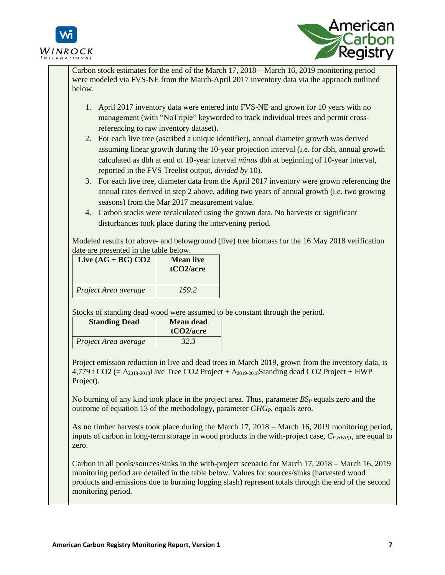



Carbon stock estimates for the end of the March 17, 2018 – March 16, 2019 monitoring period were modeled via FVS-NE from the March-April 2017 inventory data via the approach outlined below.

- 1. April 2017 inventory data were entered into FVS-NE and grown for 10 years with no management (with "NoTriple" keyworded to track individual trees and permit crossreferencing to raw inventory dataset).
- 2. For each live tree (ascribed a unique identifier), annual diameter growth was derived assuming linear growth during the 10-year projection interval (i.e. for dbh, annual growth calculated as dbh at end of 10-year interval *minus* dbh at beginning of 10-year interval, reported in the FVS Treelist output, *divided by* 10).
- 3. For each live tree, diameter data from the April 2017 inventory were grown referencing the annual rates derived in step 2 above, adding two years of annual growth (i.e. two growing seasons) from the Mar 2017 measurement value.
- 4. Carbon stocks were recalculated using the grown data. No harvests or significant disturbances took place during the intervening period.

Modeled results for above- and belowground (live) tree biomass for the 16 May 2018 verification date are presented in the table below.

| Live $(AG + BG) CO2$ | <b>Mean live</b><br>tCO <sub>2</sub> /acre |
|----------------------|--------------------------------------------|
| Project Area average | 159.2                                      |

Stocks of standing dead wood were assumed to be constant through the period.

| <b>Standing Dead</b> | <b>Mean dead</b><br>tCO2/acre |
|----------------------|-------------------------------|
| Project Area average | 32.3                          |

Project emission reduction in live and dead trees in March 2019, grown from the inventory data, is 4,779 t CO2 (=  $\Delta_{2019-2018}$ Live Tree CO2 Project +  $\Delta_{2019-2018}$ Standing dead CO2 Project + HWP Project).

No burning of any kind took place in the project area. Thus, parameter  $BS_P$  equals zero and the outcome of equation 13 of the methodology, parameter *GHGP*, equals zero.

As no timber harvests took place during the March 17, 2018 – March 16, 2019 monitoring period, inputs of carbon in long-term storage in wood products in the with-project case,  $C_{P,HWP,I}$ , are equal to zero.

Carbon in all pools/sources/sinks in the with-project scenario for March 17, 2018 – March 16, 2019 monitoring period are detailed in the table below. Values for sources/sinks (harvested wood products and emissions due to burning logging slash) represent totals through the end of the second monitoring period.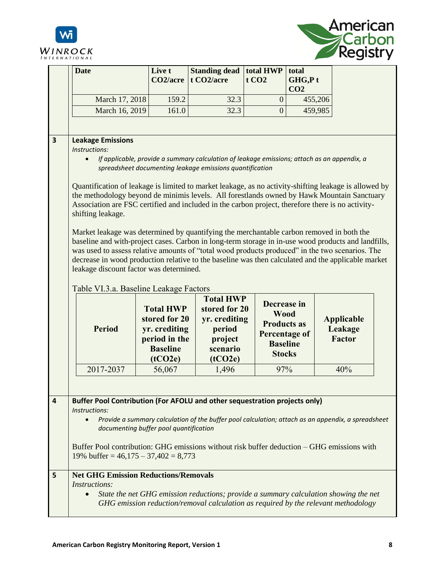



|   | <b>Date</b>                                                                                                                                                                                                                                                                                                                                                                                                                                                                                                                                                                                                                                                                                                                                                                                                                                                                                                                                                                                                                            | Live t<br>CO <sub>2</sub> /acre                                                                   | <b>Standing dead</b><br>t CO <sub>2</sub> /acre                                                | total HWP<br>t CO <sub>2</sub>                                                                               | total<br>GHG,Pt<br>CO <sub>2</sub> |                                               |  |
|---|----------------------------------------------------------------------------------------------------------------------------------------------------------------------------------------------------------------------------------------------------------------------------------------------------------------------------------------------------------------------------------------------------------------------------------------------------------------------------------------------------------------------------------------------------------------------------------------------------------------------------------------------------------------------------------------------------------------------------------------------------------------------------------------------------------------------------------------------------------------------------------------------------------------------------------------------------------------------------------------------------------------------------------------|---------------------------------------------------------------------------------------------------|------------------------------------------------------------------------------------------------|--------------------------------------------------------------------------------------------------------------|------------------------------------|-----------------------------------------------|--|
|   | March 17, 2018                                                                                                                                                                                                                                                                                                                                                                                                                                                                                                                                                                                                                                                                                                                                                                                                                                                                                                                                                                                                                         | 159.2                                                                                             | 32.3                                                                                           | $\theta$                                                                                                     | 455,206                            |                                               |  |
|   | March 16, 2019                                                                                                                                                                                                                                                                                                                                                                                                                                                                                                                                                                                                                                                                                                                                                                                                                                                                                                                                                                                                                         | 161.0                                                                                             | 32.3                                                                                           | $\overline{0}$                                                                                               | 459,985                            |                                               |  |
|   |                                                                                                                                                                                                                                                                                                                                                                                                                                                                                                                                                                                                                                                                                                                                                                                                                                                                                                                                                                                                                                        |                                                                                                   |                                                                                                |                                                                                                              |                                    |                                               |  |
| 3 | <b>Leakage Emissions</b><br>Instructions:<br>If applicable, provide a summary calculation of leakage emissions; attach as an appendix, a<br>spreadsheet documenting leakage emissions quantification<br>Quantification of leakage is limited to market leakage, as no activity-shifting leakage is allowed by<br>the methodology beyond de minimis levels. All forestlands owned by Hawk Mountain Sanctuary<br>Association are FSC certified and included in the carbon project, therefore there is no activity-<br>shifting leakage.<br>Market leakage was determined by quantifying the merchantable carbon removed in both the<br>baseline and with-project cases. Carbon in long-term storage in in-use wood products and landfills,<br>was used to assess relative amounts of "total wood products produced" in the two scenarios. The<br>decrease in wood production relative to the baseline was then calculated and the applicable market<br>leakage discount factor was determined.<br>Table VI.3.a. Baseline Leakage Factors |                                                                                                   |                                                                                                |                                                                                                              |                                    |                                               |  |
|   | <b>Period</b>                                                                                                                                                                                                                                                                                                                                                                                                                                                                                                                                                                                                                                                                                                                                                                                                                                                                                                                                                                                                                          | <b>Total HWP</b><br>stored for 20<br>yr. crediting<br>period in the<br><b>Baseline</b><br>(tCO2e) | <b>Total HWP</b><br>stored for 20<br>yr. crediting<br>period<br>project<br>scenario<br>(tCO2e) | Decrease in<br><b>Wood</b><br><b>Products as</b><br><b>Percentage of</b><br><b>Baseline</b><br><b>Stocks</b> |                                    | <b>Applicable</b><br>Leakage<br><b>Factor</b> |  |
|   | 2017-2037                                                                                                                                                                                                                                                                                                                                                                                                                                                                                                                                                                                                                                                                                                                                                                                                                                                                                                                                                                                                                              | 56,067                                                                                            | 1,496                                                                                          | 97%                                                                                                          |                                    | 40%                                           |  |
|   |                                                                                                                                                                                                                                                                                                                                                                                                                                                                                                                                                                                                                                                                                                                                                                                                                                                                                                                                                                                                                                        |                                                                                                   |                                                                                                |                                                                                                              |                                    |                                               |  |
| 4 | Buffer Pool Contribution (For AFOLU and other sequestration projects only)<br>Instructions:<br>Provide a summary calculation of the buffer pool calculation; attach as an appendix, a spreadsheet<br>documenting buffer pool quantification<br>Buffer Pool contribution: GHG emissions without risk buffer deduction – GHG emissions with<br>19% buffer = $46,175 - 37,402 = 8,773$                                                                                                                                                                                                                                                                                                                                                                                                                                                                                                                                                                                                                                                    |                                                                                                   |                                                                                                |                                                                                                              |                                    |                                               |  |
| 5 | <b>Net GHG Emission Reductions/Removals</b><br><b>Instructions:</b><br>State the net GHG emission reductions; provide a summary calculation showing the net<br>GHG emission reduction/removal calculation as required by the relevant methodology                                                                                                                                                                                                                                                                                                                                                                                                                                                                                                                                                                                                                                                                                                                                                                                      |                                                                                                   |                                                                                                |                                                                                                              |                                    |                                               |  |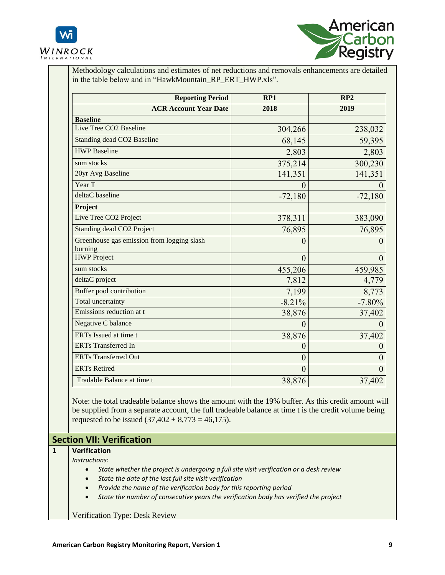



Methodology calculations and estimates of net reductions and removals enhancements are detailed in the table below and in "HawkMountain\_RP\_ERT\_HWP.xls".

| <b>Reporting Period</b>                               | RP1           | RP2          |
|-------------------------------------------------------|---------------|--------------|
| <b>ACR Account Year Date</b>                          | 2018          | 2019         |
| <b>Baseline</b>                                       |               |              |
| Live Tree CO2 Baseline                                | 304,266       | 238,032      |
| Standing dead CO2 Baseline                            | 68,145        | 59,395       |
| <b>HWP</b> Baseline                                   | 2,803         | 2,803        |
| sum stocks                                            | 375,214       | 300,230      |
| 20yr Avg Baseline                                     | 141,351       | 141,351      |
| Year T                                                |               |              |
| deltaC baseline                                       | $-72,180$     | $-72,180$    |
| Project                                               |               |              |
| Live Tree CO2 Project                                 | 378,311       | 383,090      |
| Standing dead CO2 Project                             | 76,895        | 76,895       |
| Greenhouse gas emission from logging slash<br>burning | $\mathcal{O}$ |              |
| <b>HWP</b> Project                                    | $\theta$      | $\mathbf{0}$ |
| sum stocks                                            | 455,206       | 459,985      |
| deltaC project                                        | 7,812         | 4,779        |
| Buffer pool contribution                              | 7,199         | 8,773        |
| Total uncertainty                                     | $-8.21%$      | $-7.80%$     |
| Emissions reduction at t                              | 38,876        | 37,402       |
| Negative C balance                                    |               |              |
| ERTs Issued at time t                                 | 38,876        | 37,402       |
| <b>ERTs Transferred In</b>                            | 0             |              |
| <b>ERTs Transferred Out</b>                           | $\mathbf{0}$  |              |
| <b>ERTs Retired</b>                                   | $\mathbf{0}$  |              |
| Tradable Balance at time t                            | 38,876        | 37,402       |

Note: the total tradeable balance shows the amount with the 19% buffer. As this credit amount will be supplied from a separate account, the full tradeable balance at time t is the credit volume being requested to be issued  $(37,402 + 8,773 = 46,175)$ .

## **Section VII: Verification**

## **1 Verification**

## *Instructions:*

- *State whether the project is undergoing a full site visit verification or a desk review*
- *State the date of the last full site visit verification*
- *Provide the name of the verification body for this reporting period*
- *State the number of consecutive years the verification body has verified the project*

Verification Type: Desk Review